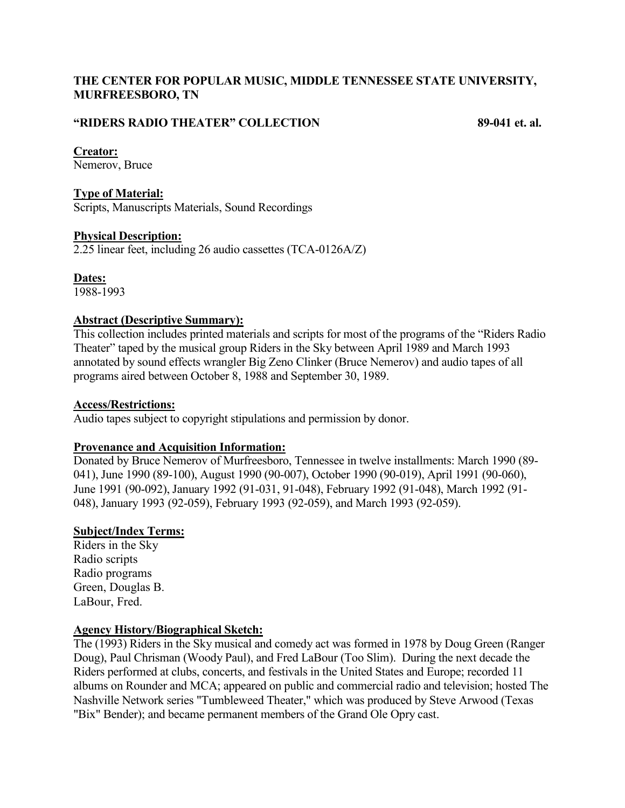# **THE CENTER FOR POPULAR MUSIC, MIDDLE TENNESSEE STATE UNIVERSITY, MURFREESBORO, TN**

# **"RIDERS RADIO THEATER" COLLECTION 89-041 et. al.**

### **Creator:**

Nemerov, Bruce

## **Type of Material:**

Scripts, Manuscripts Materials, Sound Recordings

### **Physical Description:**

2.25 linear feet, including 26 audio cassettes (TCA-0126A/Z)

**Dates:**

# 1988-1993

# **Abstract (Descriptive Summary):**

This collection includes printed materials and scripts for most of the programs of the "Riders Radio Theater" taped by the musical group Riders in the Sky between April 1989 and March 1993 annotated by sound effects wrangler Big Zeno Clinker (Bruce Nemerov) and audio tapes of all programs aired between October 8, 1988 and September 30, 1989.

#### **Access/Restrictions:**

Audio tapes subject to copyright stipulations and permission by donor.

# **Provenance and Acquisition Information:**

Donated by Bruce Nemerov of Murfreesboro, Tennessee in twelve installments: March 1990 (89- 041), June 1990 (89-100), August 1990 (90-007), October 1990 (90-019), April 1991 (90-060), June 1991 (90-092), January 1992 (91-031, 91-048), February 1992 (91-048), March 1992 (91- 048), January 1993 (92-059), February 1993 (92-059), and March 1993 (92-059).

# **Subject/Index Terms:**

Riders in the Sky Radio scripts Radio programs Green, Douglas B. LaBour, Fred.

# **Agency History/Biographical Sketch:**

The (1993) Riders in the Sky musical and comedy act was formed in 1978 by Doug Green (Ranger Doug), Paul Chrisman (Woody Paul), and Fred LaBour (Too Slim). During the next decade the Riders performed at clubs, concerts, and festivals in the United States and Europe; recorded 11 albums on Rounder and MCA; appeared on public and commercial radio and television; hosted The Nashville Network series "Tumbleweed Theater," which was produced by Steve Arwood (Texas "Bix" Bender); and became permanent members of the Grand Ole Opry cast.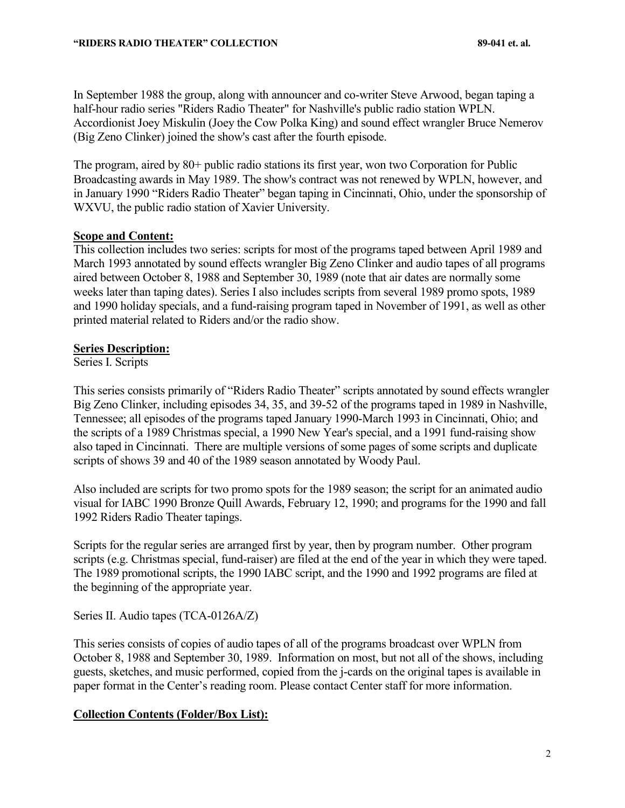In September 1988 the group, along with announcer and co-writer Steve Arwood, began taping a half-hour radio series "Riders Radio Theater" for Nashville's public radio station WPLN. Accordionist Joey Miskulin (Joey the Cow Polka King) and sound effect wrangler Bruce Nemerov (Big Zeno Clinker) joined the show's cast after the fourth episode.

The program, aired by 80+ public radio stations its first year, won two Corporation for Public Broadcasting awards in May 1989. The show's contract was not renewed by WPLN, however, and in January 1990 "Riders Radio Theater" began taping in Cincinnati, Ohio, under the sponsorship of WXVU, the public radio station of Xavier University.

# **Scope and Content:**

This collection includes two series: scripts for most of the programs taped between April 1989 and March 1993 annotated by sound effects wrangler Big Zeno Clinker and audio tapes of all programs aired between October 8, 1988 and September 30, 1989 (note that air dates are normally some weeks later than taping dates). Series I also includes scripts from several 1989 promo spots, 1989 and 1990 holiday specials, and a fund-raising program taped in November of 1991, as well as other printed material related to Riders and/or the radio show.

### **Series Description:**

Series I. Scripts

This series consists primarily of "Riders Radio Theater" scripts annotated by sound effects wrangler Big Zeno Clinker, including episodes 34, 35, and 39-52 of the programs taped in 1989 in Nashville, Tennessee; all episodes of the programs taped January 1990-March 1993 in Cincinnati, Ohio; and the scripts of a 1989 Christmas special, a 1990 New Year's special, and a 1991 fund-raising show also taped in Cincinnati. There are multiple versions of some pages of some scripts and duplicate scripts of shows 39 and 40 of the 1989 season annotated by Woody Paul.

Also included are scripts for two promo spots for the 1989 season; the script for an animated audio visual for IABC 1990 Bronze Quill Awards, February 12, 1990; and programs for the 1990 and fall 1992 Riders Radio Theater tapings.

Scripts for the regular series are arranged first by year, then by program number. Other program scripts (e.g. Christmas special, fund-raiser) are filed at the end of the year in which they were taped. The 1989 promotional scripts, the 1990 IABC script, and the 1990 and 1992 programs are filed at the beginning of the appropriate year.

Series II. Audio tapes (TCA-0126A/Z)

This series consists of copies of audio tapes of all of the programs broadcast over WPLN from October 8, 1988 and September 30, 1989. Information on most, but not all of the shows, including guests, sketches, and music performed, copied from the j-cards on the original tapes is available in paper format in the Center's reading room. Please contact Center staff for more information.

# **Collection Contents (Folder/Box List):**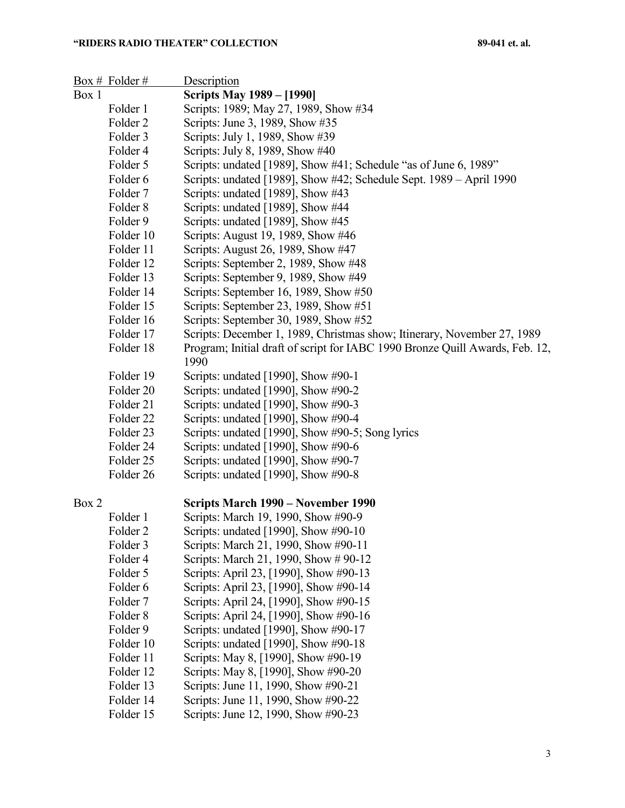|       | $Box #$ Folder #               | Description                                                                                                                                                           |
|-------|--------------------------------|-----------------------------------------------------------------------------------------------------------------------------------------------------------------------|
| Box 1 |                                | <b>Scripts May 1989 – [1990]</b>                                                                                                                                      |
|       | Folder 1                       | Scripts: 1989; May 27, 1989, Show #34                                                                                                                                 |
|       | Folder 2                       | Scripts: June 3, 1989, Show #35                                                                                                                                       |
|       | Folder 3                       | Scripts: July 1, 1989, Show #39                                                                                                                                       |
|       | Folder 4                       | Scripts: July 8, 1989, Show #40                                                                                                                                       |
|       | Folder 5                       | Scripts: undated [1989], Show #41; Schedule "as of June 6, 1989"                                                                                                      |
|       | Folder 6                       | Scripts: undated [1989], Show #42; Schedule Sept. 1989 - April 1990                                                                                                   |
|       | Folder 7                       | Scripts: undated [1989], Show #43                                                                                                                                     |
|       | Folder 8                       | Scripts: undated [1989], Show #44                                                                                                                                     |
|       | Folder 9                       | Scripts: undated [1989], Show #45                                                                                                                                     |
|       | Folder 10                      | Scripts: August 19, 1989, Show #46                                                                                                                                    |
|       | Folder 11                      | Scripts: August 26, 1989, Show #47                                                                                                                                    |
|       | Folder 12                      | Scripts: September 2, 1989, Show #48                                                                                                                                  |
|       | Folder 13                      | Scripts: September 9, 1989, Show #49                                                                                                                                  |
|       | Folder 14                      | Scripts: September 16, 1989, Show #50                                                                                                                                 |
|       | Folder 15                      | Scripts: September 23, 1989, Show #51                                                                                                                                 |
|       | Folder 16                      | Scripts: September 30, 1989, Show #52                                                                                                                                 |
|       | Folder 17                      | Scripts: December 1, 1989, Christmas show; Itinerary, November 27, 1989                                                                                               |
|       | Folder 18                      | Program; Initial draft of script for IABC 1990 Bronze Quill Awards, Feb. 12,<br>1990                                                                                  |
|       | Folder 19                      | Scripts: undated [1990], Show $\#90-1$                                                                                                                                |
|       | Folder 20                      | Scripts: undated [1990], Show #90-2                                                                                                                                   |
|       | Folder 21                      | Scripts: undated [1990], Show #90-3                                                                                                                                   |
|       | Folder 22                      | Scripts: undated [1990], Show #90-4                                                                                                                                   |
|       | Folder <sub>23</sub>           | Scripts: undated [1990], Show #90-5; Song lyrics                                                                                                                      |
|       | Folder 24                      | Scripts: undated [1990], Show #90-6                                                                                                                                   |
|       | Folder 25                      | Scripts: undated [1990], Show #90-7                                                                                                                                   |
|       | Folder 26                      | Scripts: undated [1990], Show #90-8                                                                                                                                   |
| Box 2 |                                | Scripts March 1990 – November 1990                                                                                                                                    |
|       | Folder 1                       | Scripts: March 19, 1990, Show #90-9                                                                                                                                   |
|       | Folder <sub>2</sub>            | Scripts: undated [1990], Show #90-10                                                                                                                                  |
|       | Folder 3                       | Scripts: March 21, 1990, Show #90-11                                                                                                                                  |
|       | Folder 4                       | Scripts: March 21, 1990, Show # 90-12                                                                                                                                 |
|       | Folder 5                       | Scripts: April 23, [1990], Show #90-13                                                                                                                                |
|       | Folder 6                       | Scripts: April 23, [1990], Show #90-14                                                                                                                                |
|       | Folder <sub>7</sub>            | Scripts: April 24, [1990], Show #90-15                                                                                                                                |
|       | Folder <sub>8</sub>            | Scripts: April 24, [1990], Show #90-16                                                                                                                                |
|       | Folder 9                       | Scripts: undated [1990], Show #90-17                                                                                                                                  |
|       | Folder 10                      | Scripts: undated [1990], Show #90-18                                                                                                                                  |
|       | Folder 11                      | Scripts: May 8, [1990], Show #90-19                                                                                                                                   |
|       | Folder 12                      | Scripts: May 8, [1990], Show #90-20                                                                                                                                   |
|       | Folder 13                      | Scripts: June 11, 1990, Show #90-21                                                                                                                                   |
|       | Folder 14                      | Scripts: June 11, 1990, Show #90-22                                                                                                                                   |
|       | $\Gamma_{\alpha}$ 14 $\sim$ 15 | $\mathcal{C}_{\text{cutoff}}$ , $\mathcal{L}_{\text{L}}$ , $\mathcal{L}_{\text{L}}$ 1000 $\mathcal{C}_{\text{L}}$ , $\mathcal{L}_{\text{L}}$ $\mathcal{L}_{\text{L}}$ |

Folder 15 Scripts: June 12, 1990, Show #90-23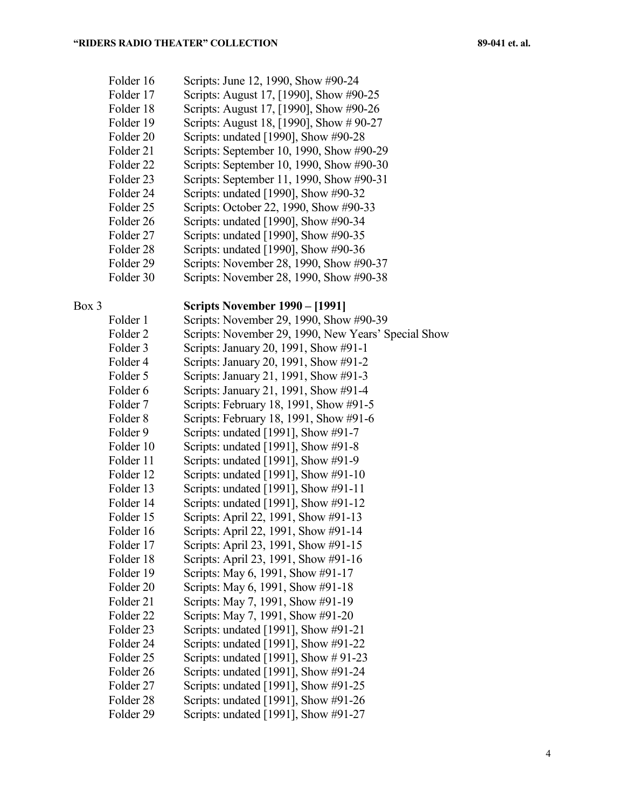| Folder 16            | Scripts: June 12, 1990, Show #90-24      |
|----------------------|------------------------------------------|
| Folder 17            | Scripts: August 17, [1990], Show #90-25  |
| Folder 18            | Scripts: August 17, [1990], Show #90-26  |
| Folder 19            | Scripts: August 18, [1990], Show #90-27  |
| Folder 20            | Scripts: undated [1990], Show #90-28     |
| Folder 21            | Scripts: September 10, 1990, Show #90-29 |
| Folder <sub>22</sub> | Scripts: September 10, 1990, Show #90-30 |
| Folder <sub>23</sub> | Scripts: September 11, 1990, Show #90-31 |
| Folder 24            | Scripts: undated [1990], Show #90-32     |
| Folder <sub>25</sub> | Scripts: October 22, 1990, Show #90-33   |
| Folder <sub>26</sub> | Scripts: undated [1990], Show #90-34     |
| Folder 27            | Scripts: undated [1990], Show #90-35     |
| Folder <sub>28</sub> | Scripts: undated [1990], Show #90-36     |
| Folder 29            | Scripts: November 28, 1990, Show #90-37  |
| Folder 30            | Scripts: November 28, 1990, Show #90-38  |

# Box 3 **Scripts November 1990 – [1991]**

| Folder 1             | Scripts: November 29, 1990, Show #90-39             |
|----------------------|-----------------------------------------------------|
| Folder <sub>2</sub>  | Scripts: November 29, 1990, New Years' Special Show |
| Folder 3             | Scripts: January 20, 1991, Show #91-1               |
| Folder <sub>4</sub>  | Scripts: January 20, 1991, Show #91-2               |
| Folder 5             | Scripts: January 21, 1991, Show #91-3               |
| Folder <sub>6</sub>  | Scripts: January 21, 1991, Show #91-4               |
| Folder <sub>7</sub>  | Scripts: February 18, 1991, Show #91-5              |
| Folder <sub>8</sub>  | Scripts: February 18, 1991, Show #91-6              |
| Folder 9             | Scripts: undated [1991], Show #91-7                 |
| Folder 10            | Scripts: undated [1991], Show #91-8                 |
| Folder 11            | Scripts: undated [1991], Show #91-9                 |
| Folder 12            | Scripts: undated [1991], Show #91-10                |
| Folder 13            | Scripts: undated [1991], Show #91-11                |
| Folder 14            | Scripts: undated [1991], Show #91-12                |
| Folder 15            | Scripts: April 22, 1991, Show #91-13                |
| Folder 16            | Scripts: April 22, 1991, Show #91-14                |
| Folder 17            | Scripts: April 23, 1991, Show #91-15                |
| Folder 18            | Scripts: April 23, 1991, Show #91-16                |
| Folder 19            | Scripts: May 6, 1991, Show #91-17                   |
| Folder 20            | Scripts: May 6, 1991, Show #91-18                   |
| Folder 21            | Scripts: May 7, 1991, Show #91-19                   |
| Folder <sub>22</sub> | Scripts: May 7, 1991, Show #91-20                   |
| Folder 23            | Scripts: undated [1991], Show #91-21                |
| Folder 24            | Scripts: undated [1991], Show #91-22                |
| Folder 25            | Scripts: undated [1991], Show $\#$ 91-23            |
| Folder 26            | Scripts: undated [1991], Show #91-24                |
| Folder 27            | Scripts: undated [1991], Show #91-25                |
| Folder 28            | Scripts: undated [1991], Show #91-26                |
| Folder <sub>29</sub> | Scripts: undated [1991], Show #91-27                |
|                      |                                                     |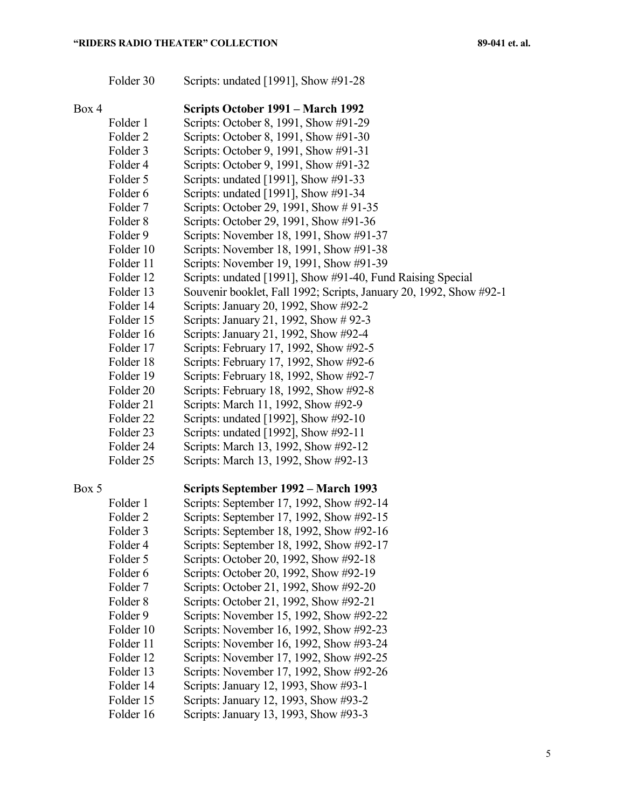| Folder 30 |  | Scripts: undated [1991], Show #91-28 |
|-----------|--|--------------------------------------|
|-----------|--|--------------------------------------|

| Box 4               | Scripts October 1991 – March 1992                                  |
|---------------------|--------------------------------------------------------------------|
| Folder 1            | Scripts: October 8, 1991, Show #91-29                              |
| Folder <sub>2</sub> | Scripts: October 8, 1991, Show #91-30                              |
| Folder 3            | Scripts: October 9, 1991, Show #91-31                              |
| Folder 4            | Scripts: October 9, 1991, Show #91-32                              |
| Folder 5            | Scripts: undated [1991], Show #91-33                               |
| Folder <sub>6</sub> | Scripts: undated [1991], Show #91-34                               |
| Folder 7            | Scripts: October 29, 1991, Show # 91-35                            |
| Folder 8            | Scripts: October 29, 1991, Show #91-36                             |
| Folder 9            | Scripts: November 18, 1991, Show #91-37                            |
| Folder 10           | Scripts: November 18, 1991, Show #91-38                            |
| Folder 11           | Scripts: November 19, 1991, Show #91-39                            |
| Folder 12           | Scripts: undated [1991], Show #91-40, Fund Raising Special         |
| Folder 13           | Souvenir booklet, Fall 1992; Scripts, January 20, 1992, Show #92-1 |
| Folder 14           | Scripts: January 20, 1992, Show #92-2                              |
| Folder 15           | Scripts: January 21, 1992, Show #92-3                              |
| Folder 16           | Scripts: January 21, 1992, Show #92-4                              |
| Folder 17           | Scripts: February 17, 1992, Show #92-5                             |

- Folder 18 Scripts: February 17, 1992, Show #92-6
- Folder 19 Scripts: February 18, 1992, Show #92-7
- Folder 20 Scripts: February 18, 1992, Show #92-8
- Folder 21 Scripts: March 11, 1992, Show #92-9
- Folder 22 Scripts: undated [1992], Show #92-10
- Folder 23 Scripts: undated [1992], Show #92-11
- Folder 24 Scripts: March 13, 1992, Show #92-12
- Folder 25 Scripts: March 13, 1992, Show #92-13

# Box 5 **Scripts September 1992 – March 1993**

Folder 1 Scripts: September 17, 1992, Show #92-14 Folder 2 Scripts: September 17, 1992, Show #92-15 Folder 3 Scripts: September 18, 1992, Show #92-16 Folder 4 Scripts: September 18, 1992, Show #92-17 Folder 5 Scripts: October 20, 1992, Show #92-18 Folder 6 Scripts: October 20, 1992, Show #92-19 Folder 7 Scripts: October 21, 1992, Show #92-20 Folder 8 Scripts: October 21, 1992, Show #92-21 Folder 9 Scripts: November 15, 1992, Show #92-22 Folder 10 Scripts: November 16, 1992, Show #92-23 Folder 11 Scripts: November 16, 1992, Show #93-24 Folder 12 Scripts: November 17, 1992, Show #92-25 Folder 13 Scripts: November 17, 1992, Show #92-26 Folder 14 Scripts: January 12, 1993, Show #93-1 Folder 15 Scripts: January 12, 1993, Show #93-2 Folder 16 Scripts: January 13, 1993, Show #93-3